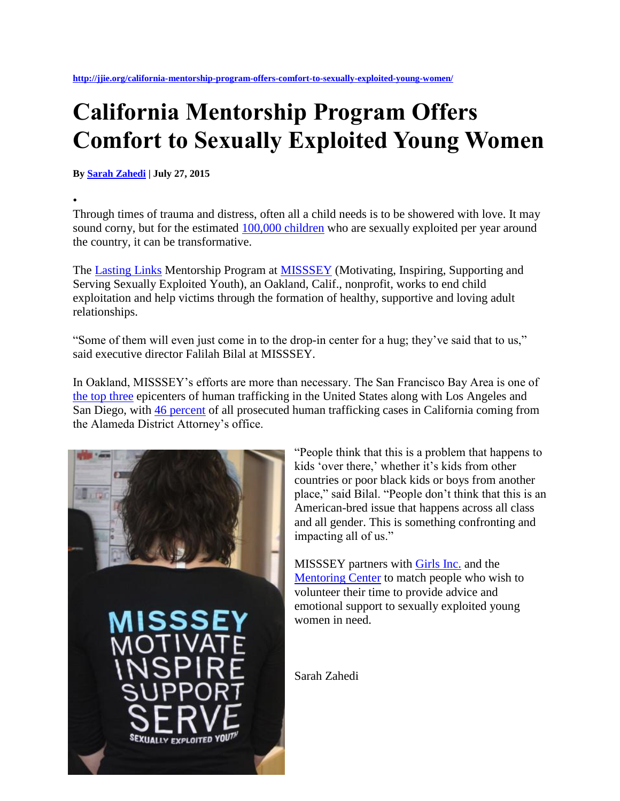## **California Mentorship Program Offers Comfort to Sexually Exploited Young Women**

**By [Sarah Zahedi](http://jjie.org/author/sarahzahedi/) | July 27, 2015**

• Through times of trauma and distress, often all a child needs is to be showered with love. It may sound corny, but for the estimated [100,000 children](http://www.huffingtonpost.com/2014/11/02/sex-trafficking-kids-us_n_6083890.html) who are sexually exploited per year around the country, it can be transformative.

The [Lasting Links](http://misssey.org/our-services/mentorship-program-2/) Mentorship Program at **MISSSEY** (Motivating, Inspiring, Supporting and Serving Sexually Exploited Youth), an Oakland, Calif., nonprofit, works to end child exploitation and help victims through the formation of healthy, supportive and loving adult relationships.

"Some of them will even just come in to the drop-in center for a hug; they've said that to us," said executive director Falilah Bilal at MISSSEY.

In Oakland, MISSSEY's efforts are more than necessary. The San Francisco Bay Area is one of [the top three](http://www.heatwatch.org/human_trafficking/about_csec) epicenters of human trafficking in the United States along with Los Angeles and San Diego, with [46 percent](http://www.heatwatch.org/human_trafficking/about_csec) of all prosecuted human trafficking cases in California coming from the Alameda District Attorney's office.



"People think that this is a problem that happens to kids 'over there,' whether it's kids from other countries or poor black kids or boys from another place," said Bilal. "People don't think that this is an American-bred issue that happens across all class and all gender. This is something confronting and impacting all of us."

MISSSEY partners with [Girls Inc.](http://www.girlsinc.org/) and the [Mentoring Center](http://mentor.org/) to match people who wish to volunteer their time to provide advice and emotional support to sexually exploited young women in need.

Sarah Zahedi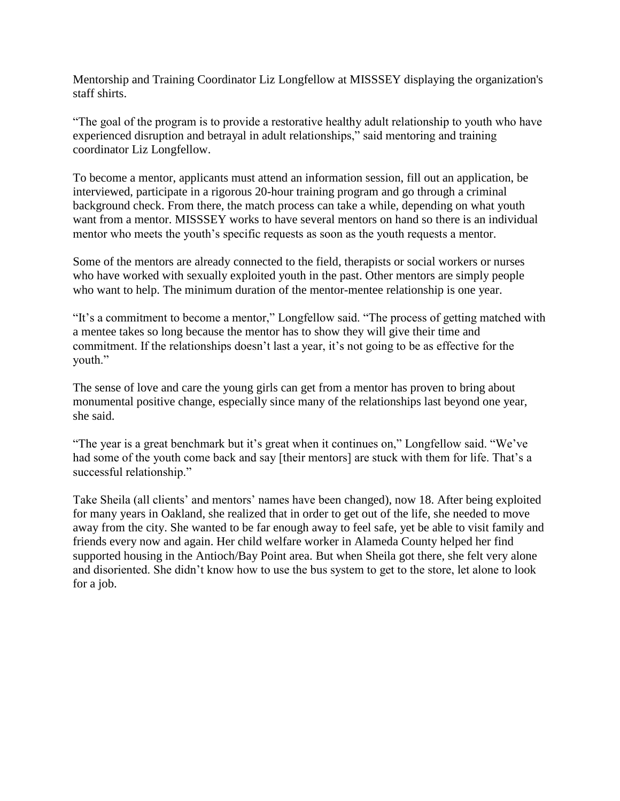Mentorship and Training Coordinator Liz Longfellow at MISSSEY displaying the organization's staff shirts.

"The goal of the program is to provide a restorative healthy adult relationship to youth who have experienced disruption and betrayal in adult relationships," said mentoring and training coordinator Liz Longfellow.

To become a mentor, applicants must attend an information session, fill out an application, be interviewed, participate in a rigorous 20-hour training program and go through a criminal background check. From there, the match process can take a while, depending on what youth want from a mentor. MISSSEY works to have several mentors on hand so there is an individual mentor who meets the youth's specific requests as soon as the youth requests a mentor.

Some of the mentors are already connected to the field, therapists or social workers or nurses who have worked with sexually exploited youth in the past. Other mentors are simply people who want to help. The minimum duration of the mentor-mentee relationship is one year.

"It's a commitment to become a mentor," Longfellow said. "The process of getting matched with a mentee takes so long because the mentor has to show they will give their time and commitment. If the relationships doesn't last a year, it's not going to be as effective for the youth."

The sense of love and care the young girls can get from a mentor has proven to bring about monumental positive change, especially since many of the relationships last beyond one year, she said.

"The year is a great benchmark but it's great when it continues on," Longfellow said. "We've had some of the youth come back and say [their mentors] are stuck with them for life. That's a successful relationship."

Take Sheila (all clients' and mentors' names have been changed), now 18. After being exploited for many years in Oakland, she realized that in order to get out of the life, she needed to move away from the city. She wanted to be far enough away to feel safe, yet be able to visit family and friends every now and again. Her child welfare worker in Alameda County helped her find supported housing in the Antioch/Bay Point area. But when Sheila got there, she felt very alone and disoriented. She didn't know how to use the bus system to get to the store, let alone to look for a job.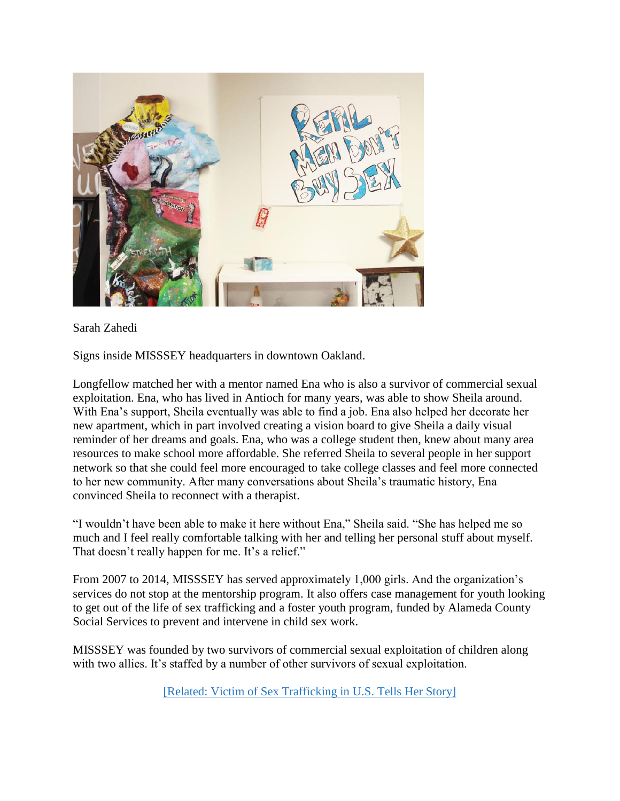

Sarah Zahedi

Signs inside MISSSEY headquarters in downtown Oakland.

Longfellow matched her with a mentor named Ena who is also a survivor of commercial sexual exploitation. Ena, who has lived in Antioch for many years, was able to show Sheila around. With Ena's support, Sheila eventually was able to find a job. Ena also helped her decorate her new apartment, which in part involved creating a vision board to give Sheila a daily visual reminder of her dreams and goals. Ena, who was a college student then, knew about many area resources to make school more affordable. She referred Sheila to several people in her support network so that she could feel more encouraged to take college classes and feel more connected to her new community. After many conversations about Sheila's traumatic history, Ena convinced Sheila to reconnect with a therapist.

"I wouldn't have been able to make it here without Ena," Sheila said. "She has helped me so much and I feel really comfortable talking with her and telling her personal stuff about myself. That doesn't really happen for me. It's a relief."

From 2007 to 2014, MISSSEY has served approximately 1,000 girls. And the organization's services do not stop at the mentorship program. It also offers case management for youth looking to get out of the life of sex trafficking and a foster youth program, funded by Alameda County Social Services to prevent and intervene in child sex work.

MISSSEY was founded by two survivors of commercial sexual exploitation of children along with two allies. It's staffed by a number of other survivors of sexual exploitation.

[Related: [Victim of Sex Trafficking in U.S. Tells Her Story\]](http://jjie.org/106101/106101/)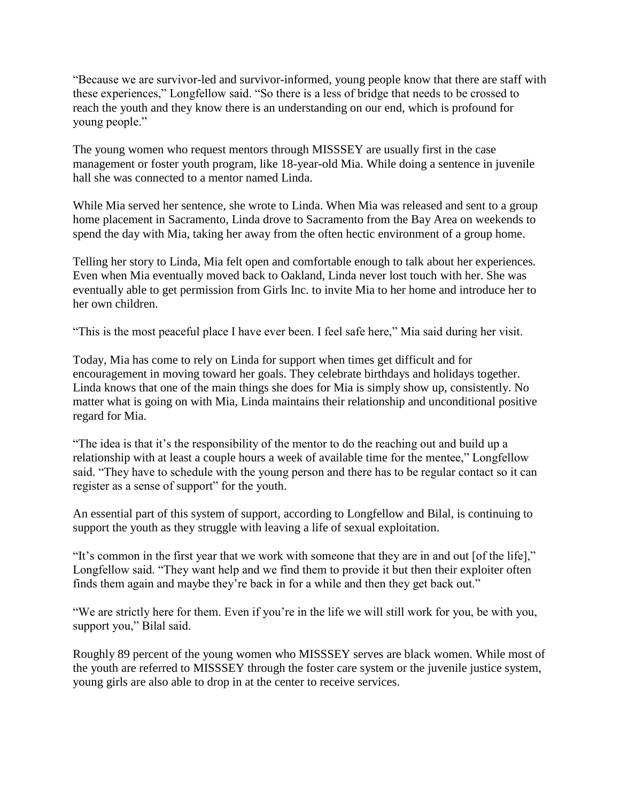"Because we are survivor-led and survivor-informed, young people know that there are staff with these experiences," Longfellow said. "So there is a less of bridge that needs to be crossed to reach the youth and they know there is an understanding on our end, which is profound for young people."

The young women who request mentors through MISSSEY are usually first in the case management or foster youth program, like 18-year-old Mia. While doing a sentence in juvenile hall she was connected to a mentor named Linda.

While Mia served her sentence, she wrote to Linda. When Mia was released and sent to a group home placement in Sacramento, Linda drove to Sacramento from the Bay Area on weekends to spend the day with Mia, taking her away from the often hectic environment of a group home.

Telling her story to Linda, Mia felt open and comfortable enough to talk about her experiences. Even when Mia eventually moved back to Oakland, Linda never lost touch with her. She was eventually able to get permission from Girls Inc. to invite Mia to her home and introduce her to her own children.

"This is the most peaceful place I have ever been. I feel safe here," Mia said during her visit.

Today, Mia has come to rely on Linda for support when times get difficult and for encouragement in moving toward her goals. They celebrate birthdays and holidays together. Linda knows that one of the main things she does for Mia is simply show up, consistently. No matter what is going on with Mia, Linda maintains their relationship and unconditional positive regard for Mia.

"The idea is that it's the responsibility of the mentor to do the reaching out and build up a relationship with at least a couple hours a week of available time for the mentee," Longfellow said. "They have to schedule with the young person and there has to be regular contact so it can register as a sense of support" for the youth.

An essential part of this system of support, according to Longfellow and Bilal, is continuing to support the youth as they struggle with leaving a life of sexual exploitation.

"It's common in the first year that we work with someone that they are in and out [of the life]," Longfellow said. "They want help and we find them to provide it but then their exploiter often finds them again and maybe they're back in for a while and then they get back out."

"We are strictly here for them. Even if you're in the life we will still work for you, be with you, support you," Bilal said.

Roughly 89 percent of the young women who MISSSEY serves are black women. While most of the youth are referred to MISSSEY through the foster care system or the juvenile justice system, young girls are also able to drop in at the center to receive services.